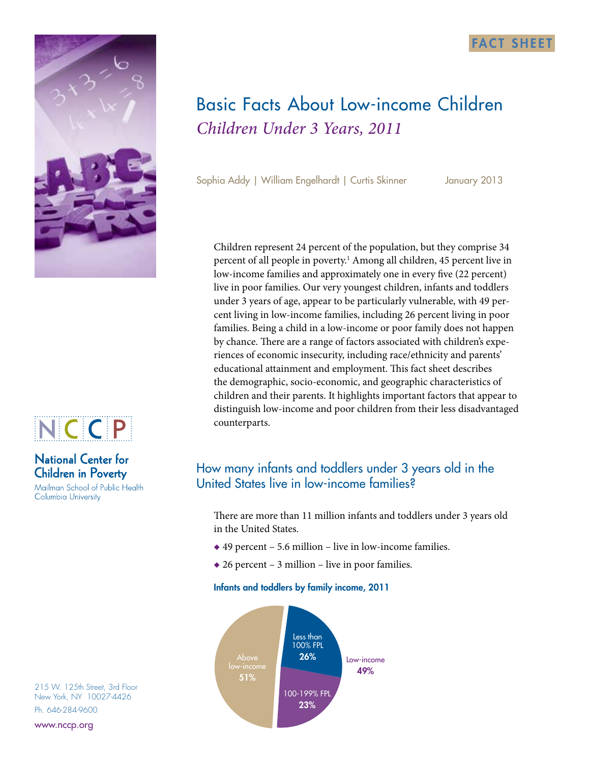



# **National Center for Children in Poverty**

Mailman School of Public Health Columbia University

215 W. 125th Street, 3rd Floor New York, NY 10027-4426 Ph. 646-284-9600

www.nccp.org



*Children Under 3 Years, 2011*

Sophia Addy | William Engelhardt | Curtis Skinner January 2013

Children represent 24 percent of the population, but they comprise 34 percent of all people in poverty.<sup>1</sup> Among all children, 45 percent live in low-income families and approximately one in every five (22 percent) live in poor families. Our very youngest children, infants and toddlers under 3 years of age, appear to be particularly vulnerable, with 49 percent living in low-income families, including 26 percent living in poor families. Being a child in a low-income or poor family does not happen by chance. There are a range of factors associated with children's experiences of economic insecurity, including race/ethnicity and parents' educational attainment and employment. This fact sheet describes the demographic, socio-economic, and geographic characteristics of children and their parents. It highlights important factors that appear to distinguish low-income and poor children from their less disadvantaged counterparts.

## How many infants and toddlers under 3 years old in the United States live in low-income families?

There are more than 11 million infants and toddlers under 3 years old in the United States.

- ◆ 49 percent 5.6 million live in low-income families.
- $\triangle$  26 percent 3 million live in poor families.

## Infants and toddlers by family income, 2011

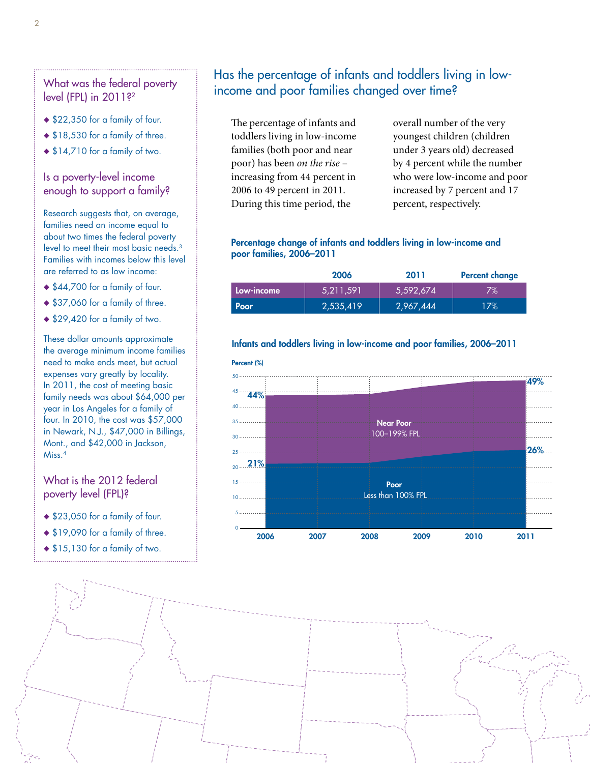## What was the federal poverty level (FPL) in 2011?<sup>2</sup>

- ◆ \$22,350 for a family of four.
- ◆ \$18,530 for a family of three.
- $\triangle$  \$14,710 for a family of two.

### Is a poverty-level income enough to support a family?

Research suggests that, on average, families need an income equal to about two times the federal poverty level to meet their most basic needs.3 Families with incomes below this level are referred to as low income:

- ◆ \$44,700 for a family of four.
- ◆ \$37,060 for a family of three.
- ◆ \$29,420 for a family of two.

These dollar amounts approximate the average minimum income families need to make ends meet, but actual expenses vary greatly by locality. In 2011, the cost of meeting basic family needs was about \$64,000 per year in Los Angeles for a family of four. In 2010, the cost was \$57,000 in Newark, N.J., \$47,000 in Billings, Mont., and \$42,000 in Jackson, Miss.4

## What is the 2012 federal poverty level (FPL)?

- ◆ \$23,050 for a family of four.
- ◆ \$19,090 for a family of three.
- ◆ \$15,130 for a family of two.

## Has the percentage of infants and toddlers living in lowincome and poor families changed over time?

The percentage of infants and toddlers living in low-income families (both poor and near poor) has been *on the rise* – increasing from 44 percent in 2006 to 49 percent in 2011. During this time period, the

overall number of the very youngest children (children under 3 years old) decreased by 4 percent while the number who were low-income and poor increased by 7 percent and 17 percent, respectively.

### Percentage change of infants and toddlers living in low-income and poor families, 2006–2011

|            | 2006      | 2011      | <b>Percent change</b> |
|------------|-----------|-----------|-----------------------|
| Low-income | 5,211,591 | 5,592,674 | $7\%$                 |
| Poor       | 2,535,419 | 2,967,444 | 17%                   |

### Infants and toddlers living in low-income and poor families, 2006–2011

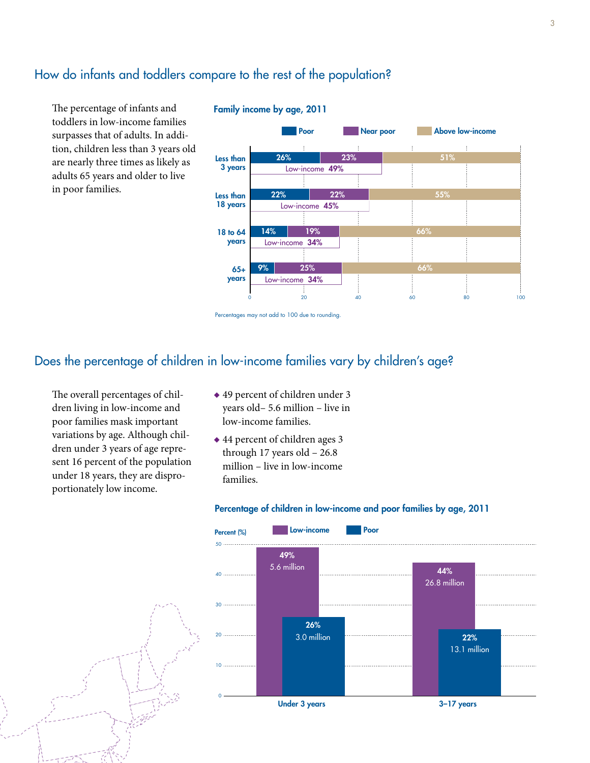# How do infants and toddlers compare to the rest of the population?

The percentage of infants and toddlers in low-income families surpasses that of adults. In addition, children less than 3 years old are nearly three times as likely as adults 65 years and older to live in poor families.



#### Family income by age, 2011

## Does the percentage of children in low-income families vary by children's age?

The overall percentages of children living in low-income and poor families mask important variations by age. Although children under 3 years of age represent 16 percent of the population under 18 years, they are disproportionately low income.

- ◆ 49 percent of children under 3 years old– 5.6 million – live in low-income families.
- ◆ 44 percent of children ages 3 through 17 years old  $-26.8$ million – live in low-income families.



#### Percentage of children in low-income and poor families by age, 2011

Percentages may not add to 100 due to rounding.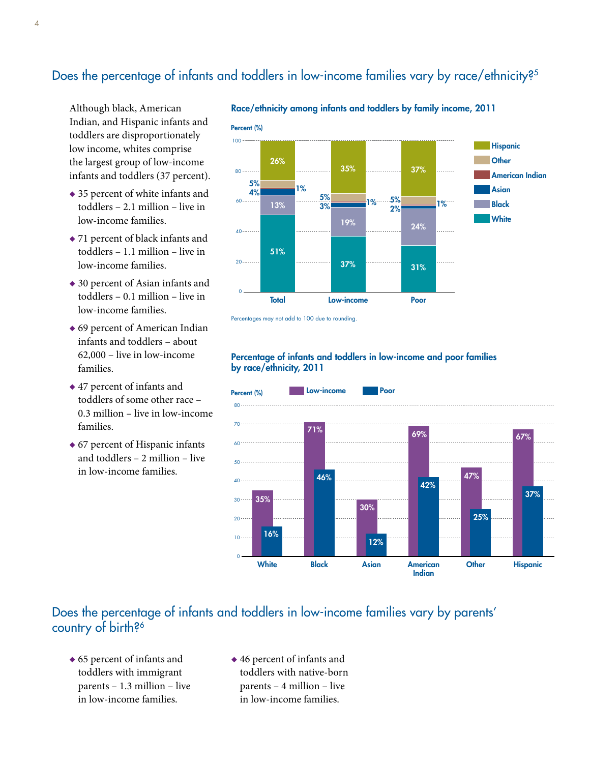# Does the percentage of infants and toddlers in low-income families vary by race/ethnicity?<sup>5</sup>

Although black, American Indian, and Hispanic infants and toddlers are disproportionately low income, whites comprise the largest group of low-income infants and toddlers (37 percent).

- ◆ 35 percent of white infants and toddlers – 2.1 million – live in low-income families.
- ◆ 71 percent of black infants and toddlers – 1.1 million – live in low-income families.
- ◆ 30 percent of Asian infants and toddlers – 0.1 million – live in low-income families.
- ◆ 69 percent of American Indian infants and toddlers – about 62,000 – live in low-income families.
- ◆ 47 percent of infants and toddlers of some other race – 0.3 million – live in low-income families.
- ◆ 67 percent of Hispanic infants and toddlers – 2 million – live in low-income families.



Percentages may not add to 100 due to rounding.

### Percentage of infants and toddlers in low-income and poor families by race/ethnicity, 2011



## Does the percentage of infants and toddlers in low-income families vary by parents' country of birth?<sup>6</sup>

- ◆ 65 percent of infants and toddlers with immigrant parents – 1.3 million – live in low-income families.
- ◆ 46 percent of infants and toddlers with native-born parents – 4 million – live in low-income families.

Race/ethnicity among infants and toddlers by family income, 2011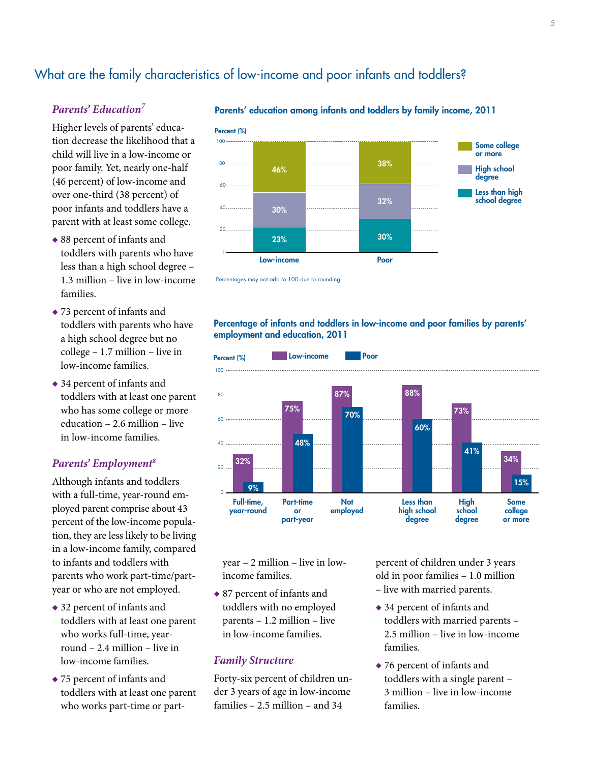# What are the family characteristics of low-income and poor infants and toddlers?

### *Parents' Education7*

Higher levels of parents' education decrease the likelihood that a child will live in a low-income or poor family. Yet, nearly one-half (46 percent) of low-income and over one-third (38 percent) of poor infants and toddlers have a parent with at least some college.

- ◆ 88 percent of infants and toddlers with parents who have less than a high school degree – 1.3 million – live in low-income families.
- ◆ 73 percent of infants and toddlers with parents who have a high school degree but no college – 1.7 million – live in low-income families.
- ◆ 34 percent of infants and toddlers with at least one parent who has some college or more education – 2.6 million – live in low-income families.

#### *Parents' Employment8*

Although infants and toddlers with a full-time, year-round employed parent comprise about 43 percent of the low-income population, they are less likely to be living in a low-income family, compared to infants and toddlers with parents who work part-time/partyear or who are not employed.

- ◆ 32 percent of infants and toddlers with at least one parent who works full-time, yearround – 2.4 million – live in low-income families.
- ◆ 75 percent of infants and toddlers with at least one parent who works part-time or part-





Percentages may not add to 100 due to rounding.

#### Percentage of infants and toddlers in low-income and poor families by parents' employment and education, 2011



year – 2 million – live in lowincome families.

◆ 87 percent of infants and toddlers with no employed parents – 1.2 million – live in low-income families.

#### *Family Structure*

Forty-six percent of children under 3 years of age in low-income families – 2.5 million – and 34

percent of children under 3 years old in poor families – 1.0 million – live with married parents.

- ◆ 34 percent of infants and toddlers with married parents – 2.5 million – live in low-income families.
- ◆ 76 percent of infants and toddlers with a single parent – 3 million – live in low-income families.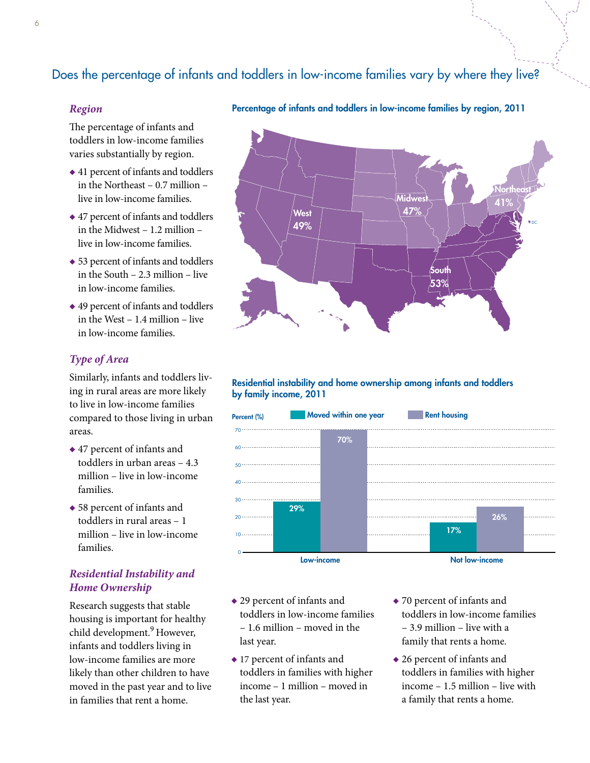# Does the percentage of infants and toddlers in low-income families vary by where they live?

### *Region*

The percentage of infants and toddlers in low-income families varies substantially by region.

- ◆ 41 percent of infants and toddlers in the Northeast – 0.7 million – live in low-income families.
- ◆ 47 percent of infants and toddlers in the Midwest – 1.2 million – live in low-income families.
- ◆ 53 percent of infants and toddlers in the South – 2.3 million – live in low-income families.
- ◆ 49 percent of infants and toddlers in the West – 1.4 million – live in low-income families.

## *Type of Area*

Similarly, infants and toddlers living in rural areas are more likely to live in low-income families compared to those living in urban areas.

- ◆ 47 percent of infants and toddlers in urban areas – 4.3 million – live in low-income families.
- ◆ 58 percent of infants and toddlers in rural areas – 1 million – live in low-income families.

## *Residential Instability and Home Ownership*

Research suggests that stable housing is important for healthy child development.<sup>9</sup> However, infants and toddlers living in low-income families are more likely than other children to have moved in the past year and to live in families that rent a home.





#### Residential instability and home ownership among infants and toddlers by family income, 2011



- ◆ 29 percent of infants and toddlers in low-income families – 1.6 million – moved in the last year.
- ◆ 17 percent of infants and toddlers in families with higher income – 1 million – moved in the last year.
- ◆ 70 percent of infants and toddlers in low-income families – 3.9 million – live with a family that rents a home.
- ◆ 26 percent of infants and toddlers in families with higher income – 1.5 million – live with a family that rents a home.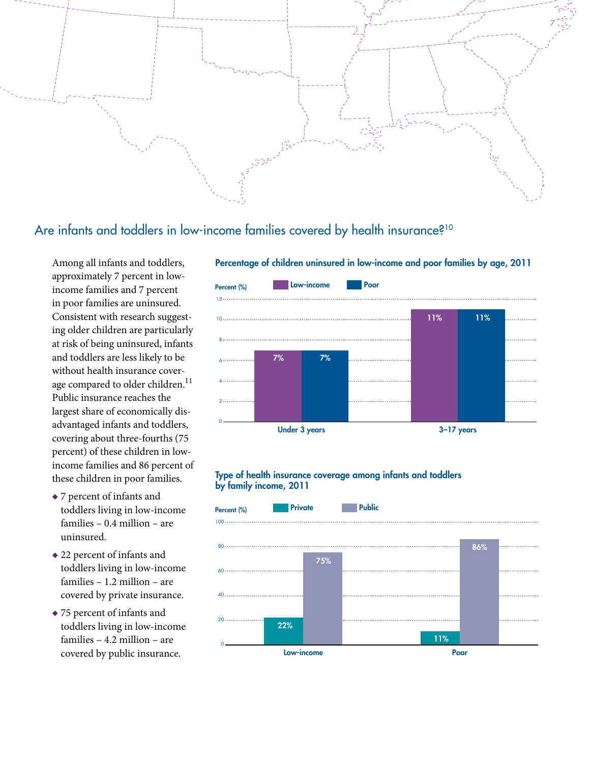

## Are infants and toddlers in low-income families covered by health insurance?<sup>10</sup>

Among all infants and toddlers, approximately 7 percent in lowincome families and 7 percent in poor families are uninsured. Consistent with research suggesting older children are particularly at risk of being uninsured, infants and toddlers are less likely to be without health insurance coverage compared to older children.<sup>11</sup> Public insurance reaches the largest share of economically disadvantaged infants and toddlers, covering about three-fourths (75 percent) of these children in lowincome families and 86 percent of these children in poor families.

- ◆ 7 percent of infants and toddlers living in low-income families – 0.4 million – are uninsured.
- ◆ 22 percent of infants and toddlers living in low-income families – 1.2 million – are covered by private insurance.
- ◆ 75 percent of infants and toddlers living in low-income families – 4.2 million – are covered by public insurance.



### Type of health insurance coverage among infants and toddlers by family income, 2011



### Percentage of children uninsured in low-income and poor families by age, 2011